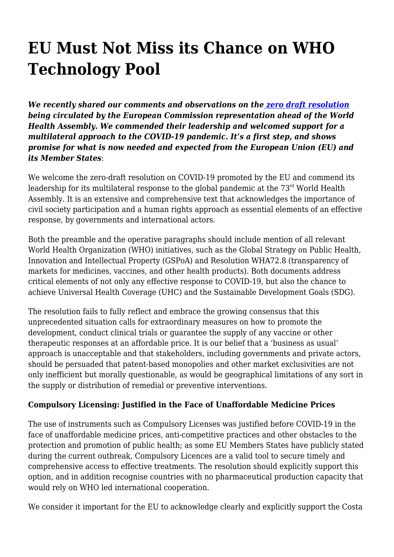## **EU Must Not Miss its Chance on WHO Technology Pool**

*We recently shared our comments and observations on the [zero draft resolution](https://www.keionline.org/32775) being circulated by the European Commission representation ahead of the World Health Assembly. We commended their leadership and welcomed support for a multilateral approach to the COVID-19 pandemic***.** *It's a first step, and shows promise for what is now needed and expected from the European Union (EU) and its Member States*:

We welcome the zero-draft resolution on COVID-19 promoted by the EU and commend its leadership for its multilateral response to the global pandemic at the  $73<sup>rd</sup>$  World Health Assembly. It is an extensive and comprehensive text that acknowledges the importance of civil society participation and a human rights approach as essential elements of an effective response, by governments and international actors.

Both the preamble and the operative paragraphs should include mention of all relevant World Health Organization (WHO) initiatives, such as the Global Strategy on Public Health, Innovation and Intellectual Property (GSPoA) and Resolution WHA72.8 (transparency of markets for medicines, vaccines, and other health products). Both documents address critical elements of not only any effective response to COVID-19, but also the chance to achieve Universal Health Coverage (UHC) and the Sustainable Development Goals (SDG).

The resolution fails to fully reflect and embrace the growing consensus that this unprecedented situation calls for extraordinary measures on how to promote the development, conduct clinical trials or guarantee the supply of any vaccine or other therapeutic responses at an affordable price. It is our belief that a 'business as usual' approach is unacceptable and that stakeholders, including governments and private actors, should be persuaded that patent-based monopolies and other market exclusivities are not only inefficient but morally questionable, as would be geographical limitations of any sort in the supply or distribution of remedial or preventive interventions.

## **Compulsory Licensing: Justified in the Face of Unaffordable Medicine Prices**

The use of instruments such as Compulsory Licenses was justified before COVID-19 in the face of unaffordable medicine prices, anti-competitive practices and other obstacles to the protection and promotion of public health; as some EU Members States have publicly stated during the current outbreak, Compulsory Licences are a valid tool to secure timely and comprehensive access to effective treatments. The resolution should explicitly support this option, and in addition recognise countries with no pharmaceutical production capacity that would rely on WHO led international cooperation.

We consider it important for the EU to acknowledge clearly and explicitly support the Costa